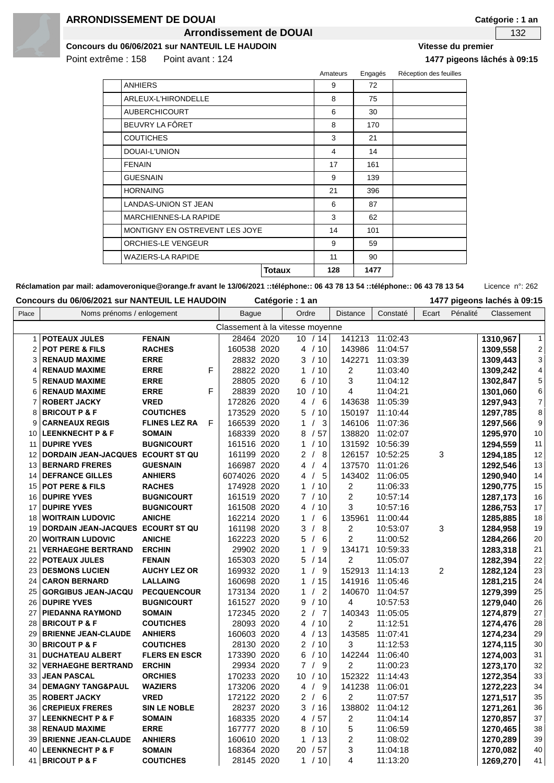

#### **ARRONDISSEMENT DE DOUAI**

**Arrondissement de DOUAI 132** 

**Concours du 06/06/2021 sur NANTEUIL LE HAUDOIN Vitesse du premier**

Point extrême : 158 Point avant : 124 **1477 pigeons lâchés à 09:15**

|                                |               | Amateurs | Engagés | Réception des feuilles |
|--------------------------------|---------------|----------|---------|------------------------|
| <b>ANHIERS</b>                 |               | 9        | 72      |                        |
| ARLEUX-L'HIRONDELLE            |               | 8        | 75      |                        |
| <b>AUBERCHICOURT</b>           |               | 6        | 30      |                        |
| BEUVRY LA FÔRET                |               | 8        | 170     |                        |
| <b>COUTICHES</b>               |               | 3        | 21      |                        |
| DOUAI-L'UNION                  |               | 4        | 14      |                        |
| <b>FENAIN</b>                  |               | 17       | 161     |                        |
| <b>GUESNAIN</b>                |               | 9        | 139     |                        |
| <b>HORNAING</b>                |               | 21       | 396     |                        |
| <b>LANDAS-UNION ST JEAN</b>    |               | 6        | 87      |                        |
| <b>MARCHIENNES-LA RAPIDE</b>   |               | 3        | 62      |                        |
| MONTIGNY EN OSTREVENT LES JOYE | 14            | 101      |         |                        |
| ORCHIES-LE VENGEUR             |               | 9        | 59      |                        |
| <b>WAZIERS-LA RAPIDE</b>       |               | 11       | 90      |                        |
|                                | <b>Totaux</b> | 128      | 1477    |                        |

Réclamation par mail: adamoveronique@orange.fr avant le 13/06/2021 ::téléphone:: 06 43 78 13 54 ::téléphone:: 06 43 78 13 54 Licence n°: 262

| Concours du 06/06/2021 sur NANTEUIL LE HAUDOIN<br>Catégorie : 1 an |  |
|--------------------------------------------------------------------|--|
|--------------------------------------------------------------------|--|

| Place          | Noms prénoms / enlogement         |                      |   | <b>Bague</b> | Ordre          |                                | <b>Distance</b>         | Constaté        | Ecart          | Pénalité | Classement |                         |
|----------------|-----------------------------------|----------------------|---|--------------|----------------|--------------------------------|-------------------------|-----------------|----------------|----------|------------|-------------------------|
|                | Classement à la vitesse moyenne   |                      |   |              |                |                                |                         |                 |                |          |            |                         |
| 1              | <b>POTEAUX JULES</b>              | <b>FENAIN</b>        |   | 28464 2020   |                | 10/14                          |                         | 141213 11:02:43 |                |          | 1310,967   | $\mathbf{1}$            |
| $\overline{2}$ | <b>POT PERE &amp; FILS</b>        | <b>RACHES</b>        |   | 160538 2020  |                | 4 / 10                         | 143986                  | 11:04:57        |                |          | 1309,558   | $\mathbf 2$             |
| 3              | <b>RENAUD MAXIME</b>              | <b>ERRE</b>          |   | 28832 2020   |                | 3 / 10                         | 142271                  | 11:03:39        |                |          | 1309,443   | 3                       |
| 4              | <b>RENAUD MAXIME</b>              | <b>ERRE</b>          | F | 28822 2020   |                | 1 / 10                         | $\overline{2}$          | 11:03:40        |                |          | 1309,242   | $\overline{\mathbf{4}}$ |
| 5              | <b>RENAUD MAXIME</b>              | <b>ERRE</b>          |   | 28805 2020   | 6              | /10                            | 3                       | 11:04:12        |                |          | 1302,847   | 5                       |
| 6              | <b>RENAUD MAXIME</b>              | <b>ERRE</b>          | F | 28839 2020   |                | 10 / 10                        | $\overline{4}$          | 11:04:21        |                |          | 1301,060   | 6                       |
| 7              | <b>ROBERT JACKY</b>               | <b>VRED</b>          |   | 172826 2020  | 4              | 6<br>$\sqrt{ }$                | 143638                  | 11:05:39        |                |          | 1297,943   | 7                       |
| 8              | <b>BRICOUT P &amp; F</b>          | <b>COUTICHES</b>     |   | 173529 2020  | 5              | /10                            | 150197                  | 11:10:44        |                |          | 1297,785   | 8                       |
| 9              | <b>CARNEAUX REGIS</b>             | <b>FLINES LEZ RA</b> | F | 166539 2020  | 1              | 3<br>$\prime$                  | 146106                  | 11:07:36        |                |          | 1297,566   | $\boldsymbol{9}$        |
| 10             | <b>LEENKNECHT P &amp; F</b>       | <b>SOMAIN</b>        |   | 168339 2020  | 8              | /57                            | 138820                  | 11:02:07        |                |          | 1295,970   | $10$                    |
| 11             | <b>DUPIRE YVES</b>                | <b>BUGNICOURT</b>    |   | 161516 2020  | 1              | /10                            | 131592                  | 10:56:39        |                |          | 1294,559   | 11                      |
| 12             | DORDAIN JEAN-JACQUES ECOURT ST QU |                      |   | 161199 2020  | $\overline{2}$ | 8<br>$\sqrt{ }$                | 126157                  | 10:52:25        | 3              |          | 1294,185   | 12                      |
|                | 13 BERNARD FRERES                 | <b>GUESNAIN</b>      |   | 166987 2020  | 4              | 4<br>$\prime$                  | 137570                  | 11:01:26        |                |          | 1292,546   | 13                      |
| 14             | <b>DEFRANCE GILLES</b>            | <b>ANHIERS</b>       |   | 6074026 2020 | 4              | $\sqrt{ }$<br>5                | 143402                  | 11:06:05        |                |          | 1290,940   | 14                      |
| 15             | <b>POT PERE &amp; FILS</b>        | <b>RACHES</b>        |   | 174928 2020  |                | 1 / 10                         | 2                       | 11:06:33        |                |          | 1290,775   | 15                      |
|                | 16 DUPIRE YVES                    | <b>BUGNICOURT</b>    |   | 161519 2020  |                | 7/10                           | $\overline{2}$          | 10:57:14        |                |          | 1287,173   | 16                      |
| 17             | <b>DUPIRE YVES</b>                | <b>BUGNICOURT</b>    |   | 161508 2020  |                | 10<br>4 /                      | 3                       | 10:57:16        |                |          | 1286,753   | 17                      |
| 18             | <b>WOITRAIN LUDOVIC</b>           | <b>ANICHE</b>        |   | 162214 2020  | 1              | 6<br>$\prime$                  | 135961                  | 11:00:44        |                |          | 1285,885   | 18                      |
| 19             | DORDAIN JEAN-JACQUES ECOURT ST QU |                      |   | 161198 2020  | 3              | 8                              | $\overline{c}$          | 10:53:07        | 3              |          | 1284,958   | 19                      |
| 20             | <b>WOITRAIN LUDOVIC</b>           | <b>ANICHE</b>        |   | 162223 2020  | 5              | 6<br>$\prime$                  | $\overline{2}$          | 11:00:52        |                |          | 1284,266   | 20                      |
| 21             | <b>VERHAEGHE BERTRAND</b>         | <b>ERCHIN</b>        |   | 29902 2020   | 1              | $\prime$<br>9                  | 134171                  | 10:59:33        |                |          | 1283,318   | 21                      |
| 22             | <b>POTEAUX JULES</b>              | <b>FENAIN</b>        |   | 165303 2020  | 5              | /14                            | 2                       | 11:05:07        |                |          | 1282,394   | 22                      |
| 23             | <b>DESMONS LUCIEN</b>             | <b>AUCHY LEZ OR</b>  |   | 169932 2020  | 1              | 9<br>$\prime$                  | 152913                  | 11:14:13        | $\overline{2}$ |          | 1282,124   | 23                      |
| 24             | <b>CARON BERNARD</b>              | <b>LALLAING</b>      |   | 160698 2020  |                | 1 / 15                         | 141916                  | 11:05:46        |                |          | 1281,215   | 24                      |
| 25             | <b>GORGIBUS JEAN-JACQU</b>        | <b>PECQUENCOUR</b>   |   | 173134 2020  | 1              | $\overline{2}$<br>$\prime$     | 140670                  | 11:04:57        |                |          | 1279,399   | 25                      |
|                | 26 DUPIRE YVES                    | <b>BUGNICOURT</b>    |   | 161527 2020  | 9              | /10                            | 4                       | 10:57:53        |                |          | 1279,040   | 26                      |
| 27             | PIEDANNA RAYMOND                  | <b>SOMAIN</b>        |   | 172345 2020  |                | 2/<br>$\overline{7}$           | 140343                  | 11:05:05        |                |          | 1274,879   | 27                      |
| 28             | <b>BRICOUT P &amp; F</b>          | <b>COUTICHES</b>     |   | 28093 2020   |                | 4 / 10                         | $\overline{2}$          | 11:12:51        |                |          | 1274,476   | 28                      |
| 29             | <b>BRIENNE JEAN-CLAUDE</b>        | <b>ANHIERS</b>       |   | 160603 2020  |                | 4 / 13                         | 143585                  | 11:07:41        |                |          | 1274,234   | 29                      |
| 30             | <b>BRICOUT P &amp; F</b>          | <b>COUTICHES</b>     |   | 28130 2020   |                | 2/10                           | 3                       | 11:12:53        |                |          | 1274,115   | 30                      |
| 31             | <b>DUCHATEAU ALBERT</b>           | <b>FLERS EN ESCR</b> |   | 173390 2020  |                | 6 / 10                         | 142244                  | 11:06:40        |                |          | 1274,003   | 31                      |
| 32             | <b>VERHAEGHE BERTRAND</b>         | <b>ERCHIN</b>        |   | 29934 2020   |                | 7/<br>9                        | 2                       | 11:00:23        |                |          | 1273,170   | 32                      |
| 33             | <b>JEAN PASCAL</b>                | <b>ORCHIES</b>       |   | 170233 2020  | 10             | /10                            | 152322                  | 11:14:43        |                |          | 1272,354   | 33                      |
| 34             | <b>DEMAGNY TANG&amp;PAUL</b>      | <b>WAZIERS</b>       |   | 173206 2020  | 4              | $\boldsymbol{9}$<br>$\sqrt{ }$ | 141238                  | 11:06:01        |                |          | 1272,223   | 34                      |
| 35             | <b>ROBERT JACKY</b>               | <b>VRED</b>          |   | 172122 2020  |                | 2/<br>6                        | $\overline{c}$          | 11:07:57        |                |          | 1271,517   | 35                      |
| 36             | <b>CREPIEUX FRERES</b>            | <b>SIN LE NOBLE</b>  |   | 28237 2020   |                | 3/16                           | 138802                  | 11:04:12        |                |          | 1271,261   | 36                      |
| 37             | <b>LEENKNECHT P &amp; F</b>       | <b>SOMAIN</b>        |   | 168335 2020  | 4              | /57                            | 2                       | 11:04:14        |                |          | 1270,857   | 37                      |
| 38             | <b>RENAUD MAXIME</b>              | <b>ERRE</b>          |   | 167777 2020  |                | 8 / 10                         | 5                       | 11:06:59        |                |          | 1270,465   | 38                      |
| 39             | <b>BRIENNE JEAN-CLAUDE</b>        | <b>ANHIERS</b>       |   | 160610 2020  | $\mathbf{1}$   | /13                            | $\overline{2}$          | 11:08:02        |                |          | 1270,289   | 39                      |
| 40             | <b>LEENKNECHT P &amp; F</b>       | <b>SOMAIN</b>        |   | 168364 2020  | 20             | /57                            | 3                       | 11:04:18        |                |          | 1270,082   | 40                      |
| 41             | <b>BRICOUT P &amp; F</b>          | <b>COUTICHES</b>     |   | 28145 2020   |                | 1 / 10                         | $\overline{\mathbf{4}}$ | 11:13:20        |                |          | 1269,270   | 41                      |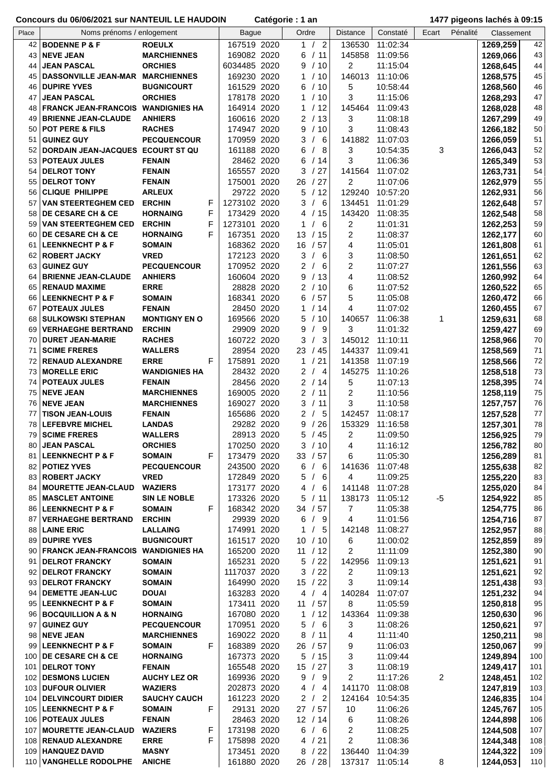|       | <u>CONCOUNS OU OUTOUZUZT SUN INANTEDIE EE HAODOIN</u> |                           | Valcyville. I all |                                 |                |                 | טו פטווסט מעומטאַוץ זידו |            |            |
|-------|-------------------------------------------------------|---------------------------|-------------------|---------------------------------|----------------|-----------------|--------------------------|------------|------------|
| Place | Noms prénoms / enlogement                             |                           | <b>Bague</b>      | Ordre                           | Distance       | Constaté        | Ecart<br>Pénalité        | Classement |            |
|       | 42 BODENNE P & F                                      | <b>ROEULX</b>             | 167519 2020       | 1/2                             | 136530         | 11:02:34        |                          | 1269,259   | 42         |
| 43    | <b>NEVE JEAN</b>                                      | <b>MARCHIENNES</b>        | 169082 2020       | 6<br>/11                        | 145858         | 11:09:56        |                          | 1269,066   | 43         |
| 44    | <b>JEAN PASCAL</b>                                    | <b>ORCHIES</b>            | 6034485 2020      | 9<br>/10                        | 2              | 11:15:04        |                          | 1268,645   | 44         |
|       | 45   DASSONVILLE JEAN-MAR MARCHIENNES                 |                           | 169230 2020       | $\mathbf{1}$<br>/10             | 146013         | 11:10:06        |                          | 1268,575   | 45         |
|       | 46 DUPIRE YVES                                        | <b>BUGNICOURT</b>         | 161529 2020       | 6<br>/10                        | 5              | 10:58:44        |                          | 1268,560   | 46         |
| 47    | <b>JEAN PASCAL</b>                                    | <b>ORCHIES</b>            | 178178 2020       | 1 / 10                          | 3              | 11:15:06        |                          | 1268,293   | 47         |
| 48    | <b>FRANCK JEAN-FRANCOIS WANDIGNIES HA</b>             |                           | 164914 2020       | 1 / 12                          | 145464         | 11:09:43        |                          | 1268,028   | 48         |
| 49    | <b>BRIENNE JEAN-CLAUDE</b>                            | <b>ANHIERS</b>            | 160616 2020       | 2/13                            | 3              | 11:08:18        |                          | 1267,299   | 49         |
| 50    | <b>POT PERE &amp; FILS</b>                            | <b>RACHES</b>             | 174947 2020       | /10<br>9                        | 3              | 11:08:43        |                          | 1266,182   | 50         |
| 51    | <b>GUINEZ GUY</b>                                     | <b>PECQUENCOUR</b>        | 170959 2020       | /6<br>3                         | 141882         | 11:07:03        |                          | 1266,059   | 51         |
| 52    | DORDAIN JEAN-JACQUES ECOURT ST QU                     |                           | 161188 2020       | /8<br>6                         | 3              | 10:54:35        | 3                        | 1266,043   | 52         |
|       | 53   POTEAUX JULES                                    | <b>FENAIN</b>             | 28462 2020        | 6<br>/14                        | 3              | 11:06:36        |                          | 1265,349   | 53         |
|       | 54   DELROT TONY                                      | <b>FENAIN</b>             | 165557 2020       | /27<br>3                        | 141564         | 11:07:02        |                          | 1263,731   | 54         |
|       | 55   DELROT TONY                                      | <b>FENAIN</b>             | 175001 2020       | /27<br>26                       | $\overline{2}$ | 11:07:06        |                          | 1262,979   | 55         |
|       | 56 CLIQUE PHILIPPE                                    | <b>ARLEUX</b>             | 29722 2020        | 5<br>/12                        | 129240         | 10:57:20        |                          |            | 56         |
| 57    | <b>VAN STEERTEGHEM CED</b>                            | <b>ERCHIN</b>             | 1273102 2020      | 3<br>/6                         | 134451         | 11:01:29        |                          | 1262,931   | 57         |
|       | 58 DE CESARE CH & CE                                  | F<br>F<br><b>HORNAING</b> | 173429 2020       |                                 |                |                 |                          | 1262,648   |            |
|       |                                                       |                           |                   | /15<br>4                        | 143420         | 11:08:35        |                          | 1262,548   | 58         |
| 59    | <b>VAN STEERTEGHEM CED</b>                            | F<br><b>ERCHIN</b>        | 1273101 2020      | 1<br>6                          | $\overline{2}$ | 11:01:31        |                          | 1262,253   | 59         |
| 60    | <b>DE CESARE CH &amp; CE</b>                          | F<br><b>HORNAING</b>      | 167351 2020       | 13<br>/15                       | 2              | 11:08:37        |                          | 1262,177   | 60         |
| 61    | <b>LEENKNECHT P &amp; F</b>                           | <b>SOMAIN</b>             | 168362 2020       | /57<br>16                       | 4              | 11:05:01        |                          | 1261,808   | 61         |
|       | 62 ROBERT JACKY                                       | <b>VRED</b>               | 172123 2020       | 3<br>6                          | 3              | 11:08:50        |                          | 1261,651   | 62         |
|       | 63 GUINEZ GUY                                         | <b>PECQUENCOUR</b>        | 170952 2020       | $\overline{c}$<br>6<br>$\prime$ | $\overline{c}$ | 11:07:27        |                          | 1261,556   | 63         |
|       | 64 BRIENNE JEAN-CLAUDE                                | <b>ANHIERS</b>            | 160604 2020       | 9<br>/13                        | $\overline{4}$ | 11:08:52        |                          | 1260,992   | 64         |
|       | 65   RENAUD MAXIME                                    | <b>ERRE</b>               | 28828 2020        | 2 / 10                          | 6              | 11:07:52        |                          | 1260,522   | 65         |
|       | 66 LEENKNECHT P & F                                   | <b>SOMAIN</b>             | 168341 2020       | 6<br>/57                        | 5              | 11:05:08        |                          | 1260,472   | 66         |
| 67    | <b>POTEAUX JULES</b>                                  | <b>FENAIN</b>             | 28450 2020        | 1 / 14                          | 4              | 11:07:02        |                          | 1260,455   | 67         |
|       | 68   SULKOWSKI STEPHAN                                | <b>MONTIGNY EN O</b>      | 169566 2020       | 5<br>/10                        | 140657         | 11:06:38        | 1                        | 1259,631   | 68         |
| 69    | <b>VERHAEGHE BERTRAND</b>                             | <b>ERCHIN</b>             | 29909 2020        | 9<br>9                          | 3              | 11:01:32        |                          | 1259,427   | 69         |
| 70    | <b>DURET JEAN-MARIE</b>                               | <b>RACHES</b>             | 160722 2020       | 3<br>3                          | 145012         | 11:10:11        |                          | 1258,966   | 70         |
| 71    | <b>SCIME FRERES</b>                                   | <b>WALLERS</b>            | 28954 2020        | 23<br>/45                       | 144337         | 11:09:41        |                          | 1258,569   | 71         |
|       | 72   RENAUD ALEXANDRE                                 | <b>ERRE</b><br>F          | 175891 2020       | $\mathbf{1}$<br>21<br>$\prime$  | 141358         | 11:07:19        |                          | 1258,566   | $72\,$     |
|       | 73 MORELLE ERIC                                       | <b>WANDIGNIES HA</b>      | 28432 2020        | $\overline{a}$<br>/4            | 145275         | 11:10:26        |                          | 1258,518   | $73\,$     |
|       | 74   POTEAUX JULES                                    | <b>FENAIN</b>             | 28456 2020        | 2/14                            | 5              | 11:07:13        |                          | 1258,395   | $74\,$     |
| 75    | <b>NEVE JEAN</b>                                      | <b>MARCHIENNES</b>        | 169005 2020       | 2 / 11                          | $\overline{2}$ | 11:10:56        |                          | 1258,119   | 75         |
| 76    | <b>NEVE JEAN</b>                                      | <b>MARCHIENNES</b>        | 169027 2020       | 3<br>/11                        | 3              | 11:10:58        |                          | 1257,757   | ${\bf 76}$ |
| 77    | <b>TISON JEAN-LOUIS</b>                               | <b>FENAIN</b>             | 165686 2020       | /5<br>2                         | 142457         | 11:08:17        |                          | 1257,528   | 77         |
| 78    | <b>LEFEBVRE MICHEL</b>                                | <b>LANDAS</b>             | 29282 2020        | /26<br>9                        | 153329         | 11:16:58        |                          | 1257,301   | 78         |
|       | 79 SCIME FRERES                                       | <b>WALLERS</b>            | 28913 2020        | 5<br>/45                        | 2              | 11:09:50        |                          | 1256,925   | 79         |
| 80    | <b>JEAN PASCAL</b>                                    | <b>ORCHIES</b>            | 170250 2020       | 3 / 10                          | 4              | 11:16:12        |                          | 1256,782   | 80         |
|       | 81 LEENKNECHT P & F                                   | F<br><b>SOMAIN</b>        | 173479 2020       | 33 / 57                         | 6              | 11:05:30        |                          | 1256,289   | 81         |
|       | 82   POTIEZ YVES                                      | <b>PECQUENCOUR</b>        | 243500 2020       | 6<br>/6                         | 141636         | 11:07:48        |                          | 1255,638   | 82         |
|       | 83   ROBERT JACKY                                     | <b>VRED</b>               | 172849 2020       | 5<br>/6                         | 4              | 11:09:25        |                          | 1255,220   | 83         |
|       | 84   MOURETTE JEAN-CLAUD                              | <b>WAZIERS</b>            | 173177 2020       | 4<br>/6                         | 141148         | 11:07:28        |                          | 1255,020   | 84         |
| 85    | <b>MASCLET ANTOINE</b>                                | SIN LE NOBLE              | 173326 2020       | 5<br>/11                        | 138173         | 11:05:12        | $-5$                     | 1254,922   | 85         |
|       | 86 LEENKNECHT P & F                                   | F<br><b>SOMAIN</b>        | 168342 2020       | /57<br>34                       | 7              | 11:05:38        |                          | 1254,775   | 86         |
| 87    | <b>VERHAEGHE BERTRAND</b>                             | <b>ERCHIN</b>             | 29939 2020        | 6<br>/9                         | 4              | 11:01:56        |                          | 1254,716   | 87         |
| 88    | <b>LAINE ERIC</b>                                     | <b>LALLAING</b>           | 174991 2020       | $\mathbf{1}$<br>/5              | 142148         | 11:08:27        |                          | 1252,957   | 88         |
|       | 89 DUPIRE YVES                                        | <b>BUGNICOURT</b>         | 161517 2020       | 10 / 10                         | 6              | 11:00:02        |                          | 1252,859   | 89         |
|       | 90 FRANCK JEAN-FRANCOIS WANDIGNIES HA                 |                           | 165200 2020       | 11 / 12                         | $\overline{2}$ | 11:11:09        |                          | 1252,380   | $90\,$     |
|       | 91   DELROT FRANCKY                                   | <b>SOMAIN</b>             | 165231 2020       | 5<br>/22                        | 142956         | 11:09:13        |                          | 1251,621   | 91         |
|       | 92 DELROT FRANCKY                                     | <b>SOMAIN</b>             | 1117037 2020      | 3<br>/22                        | 2              | 11:09:13        |                          | 1251,621   | 92         |
|       | 93 DELROT FRANCKY                                     | <b>SOMAIN</b>             | 164990 2020       | 15 / 22                         | 3              | 11:09:14        |                          | 1251,438   | 93         |
|       | 94   DEMETTE JEAN-LUC                                 | <b>DOUAI</b>              | 163283 2020       | 4/4                             | 140284         | 11:07:07        |                          | 1251,232   | 94         |
|       | 95 LEENKNECHT P & F                                   | <b>SOMAIN</b>             | 173411 2020       | 11 / 57                         | 8              | 11:05:59        |                          | 1250,818   | 95         |
|       | 96 BOCQUILLION A & N                                  | <b>HORNAING</b>           | 167080 2020       | 1 / 12                          | 143364         | 11:09:38        |                          | 1250,630   | 96         |
| 97    | <b>GUINEZ GUY</b>                                     | <b>PECQUENCOUR</b>        | 170951 2020       | 5<br>/6                         | 3              | 11:08:26        |                          | 1250,621   | 97         |
|       | 98 NEVE JEAN                                          | <b>MARCHIENNES</b>        | 169022 2020       | 8<br>/11                        | 4              | 11:11:40        |                          | 1250,211   | 98         |
|       | 99 LEENKNECHT P & F                                   | F<br><b>SOMAIN</b>        | 168389 2020       | 26<br>/57                       | 9              | 11:06:03        |                          | 1250,067   | 99         |
|       | 100 DE CESARE CH & CE                                 | <b>HORNAING</b>           | 167373 2020       | 5<br>/15                        | 3              | 11:09:44        |                          | 1249,894   | 100        |
|       | 101   DELROT TONY                                     | <b>FENAIN</b>             | 165548 2020       | 15 / 27                         | 3              | 11:08:19        |                          | 1249,417   | 101        |
|       | 102 DESMONS LUCIEN                                    | <b>AUCHY LEZ OR</b>       | 169936 2020       | 9<br>/9                         | $\overline{2}$ | 11:17:26        | 2                        | 1248,451   | 102        |
|       | 103 DUFOUR OLIVIER                                    | <b>WAZIERS</b>            | 202873 2020       | /4<br>4                         | 141170         | 11:08:08        |                          | 1247,819   | 103        |
|       | 104   DELVINCOURT DIDIER                              | <b>SAUCHY CAUCH</b>       | 161223 2020       | 2<br>/2                         | 124164         | 10:54:35        |                          | 1246,835   | 104        |
|       | 105   LEENKNECHT P & F                                | F<br><b>SOMAIN</b>        | 29131 2020        | 27/57                           | 10             | 11:06:26        |                          | 1245,767   | 105        |
|       | 106   POTEAUX JULES                                   | <b>FENAIN</b>             | 28463 2020        | 12 / 14                         | 6              | 11:08:26        |                          | 1244,898   | 106        |
| 107   | <b>MOURETTE JEAN-CLAUD</b>                            | F<br><b>WAZIERS</b>       | 173198 2020       | 6<br>/6                         | 2              | 11:08:25        |                          | 1244,508   | 107        |
|       | 108   RENAUD ALEXANDRE                                | F<br><b>ERRE</b>          | 175898 2020       | /21<br>4                        | $\overline{2}$ | 11:08:36        |                          | 1244,348   | 108        |
|       | 109 HANQUEZ DAVID                                     | <b>MASNY</b>              | 173451 2020       | 8<br>/22                        | 136440         | 11:04:39        |                          | 1244,322   | 109        |
|       | 110 VANGHELLE RODOLPHE                                | <b>ANICHE</b>             | 161880 2020       | 26 / 28                         |                | 137317 11:05:14 | 8                        | 1244,053   | 110        |
|       |                                                       |                           |                   |                                 |                |                 |                          |            |            |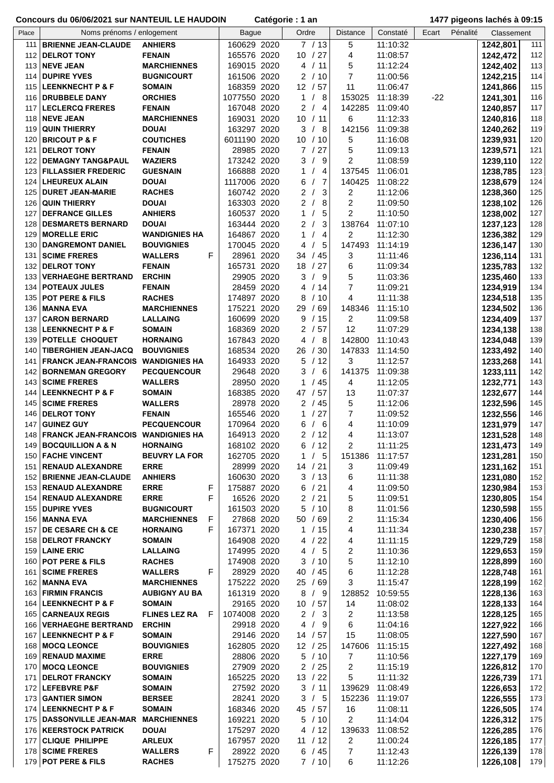| Place | Noms prénoms / enlogement              |                      |    | <b>Bague</b> | Ordre                  | <b>Distance</b>         | Constaté | Ecart | Pénalité | Classement |     |
|-------|----------------------------------------|----------------------|----|--------------|------------------------|-------------------------|----------|-------|----------|------------|-----|
|       |                                        |                      |    |              |                        |                         |          |       |          |            |     |
| 111   | <b>BRIENNE JEAN-CLAUDE</b>             | <b>ANHIERS</b>       |    | 160629 2020  | 7/13                   | 5                       | 11:10:32 |       |          | 1242,801   | 111 |
| 112   | <b>DELROT TONY</b>                     | <b>FENAIN</b>        |    | 165576 2020  | 10 / 27                | 4                       | 11:08:57 |       |          | 1242,472   | 112 |
|       | <b>113   NEVE JEAN</b>                 | <b>MARCHIENNES</b>   |    | 169015 2020  | 4 / 11                 | 5                       | 11:12:24 |       |          | 1242,402   | 113 |
|       |                                        |                      |    |              |                        |                         |          |       |          |            |     |
| 114   | <b>DUPIRE YVES</b>                     | <b>BUGNICOURT</b>    |    | 161506 2020  | 2/10                   | $\overline{7}$          | 11:00:56 |       |          | 1242,215   | 114 |
|       | 115 LEENKNECHT P & F                   | <b>SOMAIN</b>        |    | 168359 2020  | 12 / 57                | 11                      | 11:06:47 |       |          | 1241,866   | 115 |
|       |                                        |                      |    |              |                        |                         |          |       |          |            |     |
| 116   | <b>DRUBBELE DANY</b>                   | <b>ORCHIES</b>       |    | 1077550 2020 | - 8<br>$\mathbf{1}$    | 153025                  | 11:18:39 | $-22$ |          | 1241,301   | 116 |
| 117   | <b>LECLERCQ FRERES</b>                 | <b>FENAIN</b>        |    | 167048 2020  | 2<br>$\overline{4}$    | 142285                  | 11:09:40 |       |          | 1240,857   | 117 |
|       |                                        |                      |    |              |                        |                         |          |       |          |            |     |
| 118   | <b>NEVE JEAN</b>                       | <b>MARCHIENNES</b>   |    | 169031 2020  | 10 <sup>°</sup><br>/11 | 6                       | 11:12:33 |       |          | 1240,816   | 118 |
| 119   | <b>QUIN THIERRY</b>                    | <b>DOUAI</b>         |    | 163297 2020  | 3<br>- 8               | 142156                  | 11:09:38 |       |          | 1240,262   | 119 |
| 120   | <b>BRICOUT P &amp; F</b>               | <b>COUTICHES</b>     |    | 6011190 2020 | 10 <sup>°</sup><br>/10 | 5                       | 11:16:08 |       |          | 1239,931   | 120 |
|       |                                        |                      |    |              |                        |                         |          |       |          |            |     |
| 121   | <b>DELROT TONY</b>                     | <b>FENAIN</b>        |    | 28985 2020   | $\overline{7}$<br>27   | 5                       | 11:09:13 |       |          | 1239,571   | 121 |
| 122   | <b>DEMAGNY TANG&amp;PAUL</b>           | <b>WAZIERS</b>       |    | 173242 2020  | 3<br>-9                | 2                       | 11:08:59 |       |          | 1239,110   | 122 |
|       |                                        |                      |    |              |                        |                         |          |       |          |            |     |
| 123   | <b>FILLASSIER FREDERIC</b>             | <b>GUESNAIN</b>      |    | 166888 2020  | 1<br>4                 | 137545                  | 11:06:01 |       |          | 1238,785   | 123 |
| 124   | LHEUREUX ALAIN                         | <b>DOUAI</b>         |    | 1117006 2020 | 7<br>6                 | 140425                  | 11:08:22 |       |          | 1238,679   | 124 |
|       |                                        |                      |    |              |                        |                         |          |       |          |            |     |
| 125   | <b>DURET JEAN-MARIE</b>                | <b>RACHES</b>        |    | 160742 2020  | 3<br>$\overline{2}$    | 2                       | 11:12:06 |       |          | 1238,360   | 125 |
| 126   | <b>QUIN THIERRY</b>                    | <b>DOUAI</b>         |    | 163303 2020  | $\overline{2}$<br>8    | 2                       | 11:09:50 |       |          | 1238,102   | 126 |
|       |                                        |                      |    |              |                        |                         |          |       |          |            |     |
| 127   | <b>DEFRANCE GILLES</b>                 | <b>ANHIERS</b>       |    | 160537 2020  | $\mathbf{1}$<br>5      | 2                       | 11:10:50 |       |          | 1238,002   | 127 |
| 128   | <b>DESMARETS BERNARD</b>               | <b>DOUAI</b>         |    | 163444 2020  | 3<br>2                 | 138764                  | 11:07:10 |       |          | 1237,123   | 128 |
| 129   | <b>MORELLE ERIC</b>                    | <b>WANDIGNIES HA</b> |    | 164867 2020  | 4<br>1                 | 2                       | 11:12:30 |       |          |            | 129 |
|       |                                        |                      |    |              |                        |                         |          |       |          | 1236,382   |     |
| 130   | <b>DANGREMONT DANIEL</b>               | <b>BOUVIGNIES</b>    |    | 170045 2020  | 5<br>4                 | 147493                  | 11:14:19 |       |          | 1236,147   | 130 |
| 131   | <b>SCIME FRERES</b>                    | <b>WALLERS</b>       | F  | 28961 2020   | /45<br>34              | 3                       | 11:11:46 |       |          | 1236,114   | 131 |
|       |                                        |                      |    |              |                        |                         |          |       |          |            |     |
| 132   | <b>DELROT TONY</b>                     | <b>FENAIN</b>        |    | 165731 2020  | 18<br>/27              | 6                       | 11:09:34 |       |          | 1235,783   | 132 |
| 133   | <b>VERHAEGHE BERTRAND</b>              | <b>ERCHIN</b>        |    | 29905 2020   | 3<br>/9                | 5                       | 11:03:36 |       |          | 1235,460   | 133 |
|       |                                        |                      |    |              |                        |                         |          |       |          |            |     |
| 134   | <b>POTEAUX JULES</b>                   | <b>FENAIN</b>        |    | 28459 2020   | /14<br>4               | 7                       | 11:09:21 |       |          | 1234,919   | 134 |
| 135   | POT PERE & FILS                        | <b>RACHES</b>        |    | 174897 2020  | 8<br>/10               | 4                       | 11:11:38 |       |          | 1234,518   | 135 |
|       |                                        |                      |    |              |                        |                         |          |       |          |            |     |
| 136   | <b>MANNA EVA</b>                       | <b>MARCHIENNES</b>   |    | 175221 2020  | /69<br>29              | 148346                  | 11:15:10 |       |          | 1234,502   | 136 |
| 137   | <b>CARON BERNARD</b>                   | <b>LALLAING</b>      |    | 160699 2020  | 9<br>/15               | 2                       | 11:09:58 |       |          | 1234,409   | 137 |
|       |                                        |                      |    |              |                        | 12                      |          |       |          |            |     |
|       | 138 LEENKNECHT P & F                   | <b>SOMAIN</b>        |    | 168369 2020  | $\overline{2}$<br>/57  |                         | 11:07:29 |       |          | 1234,138   | 138 |
|       | 139 POTELLE CHOQUET                    | <b>HORNAING</b>      |    | 167843 2020  | 8<br>4                 | 142800                  | 11:10:43 |       |          | 1234,048   | 139 |
| 140   | <b>TIBERGHIEN JEAN-JACQ</b>            | <b>BOUVIGNIES</b>    |    | 168534 2020  | 26 / 30                | 147833                  | 11:14:50 |       |          | 1233,492   | 140 |
|       |                                        |                      |    |              |                        |                         |          |       |          |            |     |
| 141   | FRANCK JEAN-FRANCOIS WANDIGNIES HA     |                      |    | 164933 2020  | 5<br>/12               | 3                       | 11:12:57 |       |          | 1233,268   | 141 |
| 142   | <b>BORNEMAN GREGORY</b>                | <b>PECQUENCOUR</b>   |    | 29648 2020   | 6<br>3<br>$\prime$     | 141375                  | 11:09:38 |       |          | 1233,111   | 142 |
|       |                                        |                      |    |              |                        |                         |          |       |          |            |     |
| 143   | <b>SCIME FRERES</b>                    | <b>WALLERS</b>       |    | 28950 2020   | /45<br>1               | 4                       | 11:12:05 |       |          | 1232,771   | 143 |
| 144   | <b>LEENKNECHT P &amp; F</b>            | <b>SOMAIN</b>        |    | 168385 2020  | 57<br>47               | 13                      | 11:07:37 |       |          | 1232,677   | 144 |
|       |                                        |                      |    |              |                        |                         |          |       |          |            |     |
| 145   | <b>SCIME FRERES</b>                    | <b>WALLERS</b>       |    | 28978 2020   | 2/45                   | 5                       | 11:12:06 |       |          | 1232,596   | 145 |
| 146   | <b>DELROT TONY</b>                     | <b>FENAIN</b>        |    | 165546 2020  | 27<br>1                | $\overline{7}$          | 11:09:52 |       |          | 1232,556   | 146 |
| 147   |                                        | <b>PECQUENCOUR</b>   |    | 170964 2020  | 6<br>6                 | 4                       |          |       |          |            | 147 |
|       | <b>GUINEZ GUY</b>                      |                      |    |              |                        |                         | 11:10:09 |       |          | 1231,979   |     |
|       | 148 FRANCK JEAN-FRANCOIS WANDIGNIES HA |                      |    | 164913 2020  | 2/12                   | 4                       | 11:13:07 |       |          | 1231,528   | 148 |
|       | 149 BOCQUILLION A & N                  | <b>HORNAING</b>      |    | 168102 2020  | 6/12                   | 2                       | 11:11:25 |       |          | 1231,473   | 149 |
|       |                                        |                      |    |              |                        |                         |          |       |          |            |     |
|       | 150 FACHE VINCENT                      | <b>BEUVRY LA FOR</b> |    | 162705 2020  | /5<br>1                | 151386                  | 11:17:57 |       |          | 1231,281   | 150 |
| 151   | <b>RENAUD ALEXANDRE</b>                | <b>ERRE</b>          |    | 28999 2020   | 14 / 21                | 3                       | 11:09:49 |       |          | 1231,162   | 151 |
|       |                                        |                      |    |              |                        |                         |          |       |          |            |     |
|       | 152 BRIENNE JEAN-CLAUDE                | <b>ANHIERS</b>       |    | 160630 2020  | 3 / 13                 | 6                       | 11:11:38 |       |          | 1231,080   | 152 |
|       | 153 RENAUD ALEXANDRE                   | <b>ERRE</b>          | F  | 175887 2020  | 6 / 21                 | 4                       | 11:09:50 |       |          | 1230,984   | 153 |
|       |                                        |                      | F  |              |                        |                         |          |       |          |            |     |
|       | 154   RENAUD ALEXANDRE                 | <b>ERRE</b>          |    | 16526 2020   | 2 / 21                 | 5                       | 11:09:51 |       |          | 1230,805   | 154 |
|       | 155 DUPIRE YVES                        | <b>BUGNICOURT</b>    |    | 161503 2020  | 5/10                   | 8                       | 11:01:56 |       |          | 1230,598   | 155 |
|       | 156   MANNA EVA                        | <b>MARCHIENNES</b>   | F  | 27868 2020   | 50 / 69                | 2                       | 11:15:34 |       |          | 1230,406   | 156 |
|       |                                        |                      |    |              |                        |                         |          |       |          |            |     |
|       | 157 DE CESARE CH & CE                  | <b>HORNAING</b>      | F  | 167371 2020  | 1 / 15                 | 4                       | 11:11:34 |       |          | 1230,238   | 157 |
|       | 158 DELROT FRANCKY                     | <b>SOMAIN</b>        |    | 164908 2020  | 4 / 22                 | 4                       | 11:11:15 |       |          | 1229,729   | 158 |
|       |                                        |                      |    |              |                        |                         |          |       |          |            |     |
|       | 159 LAINE ERIC                         | <b>LALLAING</b>      |    | 174995 2020  | /5<br>4                | 2                       | 11:10:36 |       |          | 1229,653   | 159 |
|       | 160 POT PERE & FILS                    | <b>RACHES</b>        |    | 174908 2020  | 3<br>/10               | 5                       | 11:12:10 |       |          | 1228,899   | 160 |
| 161   | <b>SCIME FRERES</b>                    | <b>WALLERS</b>       | F  | 28929 2020   | 40 / 45                | 6                       | 11:12:28 |       |          | 1228,748   | 161 |
|       |                                        |                      |    |              |                        |                         |          |       |          |            |     |
|       | 162 MANNA EVA                          | <b>MARCHIENNES</b>   |    | 175222 2020  | 25/69                  | 3                       | 11:15:47 |       |          | 1228,199   | 162 |
|       | 163 FIRMIN FRANCIS                     | <b>AUBIGNY AU BA</b> |    | 161319 2020  | 8/9                    | 128852                  | 10:59:55 |       |          | 1228,136   | 163 |
|       |                                        |                      |    |              |                        |                         |          |       |          |            |     |
|       | 164   LEENKNECHT P & F                 | <b>SOMAIN</b>        |    | 29165 2020   | 10 / 57                | 14                      | 11:08:02 |       |          | 1228,133   | 164 |
|       | 165 CARNEAUX REGIS                     | <b>FLINES LEZ RA</b> | -F | 1074008 2020 | $\overline{2}$<br>/3   | $\overline{\mathbf{c}}$ | 11:13:58 |       |          | 1228,125   | 165 |
|       |                                        |                      |    |              |                        |                         |          |       |          |            |     |
|       | 166 VERHAEGHE BERTRAND                 | <b>ERCHIN</b>        |    | 29918 2020   | 4<br>/9                | 6                       | 11:04:16 |       |          | 1227,922   | 166 |
|       | 167 LEENKNECHT P & F                   | <b>SOMAIN</b>        |    | 29146 2020   | 14 / 57                | 15                      | 11:08:05 |       |          | 1227,590   | 167 |
|       | 168   MOCQ LEONCE                      | <b>BOUVIGNIES</b>    |    | 162805 2020  | 12 / 25                | 147606                  | 11:15:15 |       |          | 1227,492   | 168 |
|       |                                        |                      |    |              |                        |                         |          |       |          |            |     |
|       | 169   RENAUD MAXIME                    | <b>ERRE</b>          |    | 28806 2020   | 5/10                   | $\overline{7}$          | 11:10:56 |       |          | 1227,179   | 169 |
|       | 170 MOCQ LEONCE                        | <b>BOUVIGNIES</b>    |    | 27909 2020   | 2/25                   | 2                       | 11:15:19 |       |          | 1226,812   | 170 |
|       |                                        |                      |    |              |                        |                         |          |       |          |            |     |
| 171   | <b>DELROT FRANCKY</b>                  | <b>SOMAIN</b>        |    | 165225 2020  | 13 / 22                | 5                       | 11:11:32 |       |          | 1226,739   | 171 |
|       | 172 LEFEBVRE P&F                       | <b>SOMAIN</b>        |    | 27592 2020   | 3 / 11                 | 139629                  | 11:08:49 |       |          | 1226,653   | 172 |
|       |                                        |                      |    |              |                        |                         |          |       |          |            |     |
| 173   | <b>GANTIER SIMON</b>                   | <b>BERSEE</b>        |    | 28241 2020   | /5<br>3                | 152236                  | 11:19:07 |       |          | 1226,555   | 173 |
|       | 174 LEENKNECHT P & F                   | <b>SOMAIN</b>        |    | 168346 2020  | 45 / 57                | 16                      | 11:08:11 |       |          | 1226,505   | 174 |
|       | 175   DASSONVILLE JEAN-MAR MARCHIENNES |                      |    | 169221 2020  | 5/10                   | 2                       | 11:14:04 |       |          | 1226,312   | 175 |
|       |                                        |                      |    |              |                        |                         |          |       |          |            |     |
|       | 176   KEERSTOCK PATRICK                | <b>DOUAI</b>         |    | 175297 2020  | 4/12                   | 139633                  | 11:08:52 |       |          | 1226,285   | 176 |
|       | 177 CLIQUE PHILIPPE                    | <b>ARLEUX</b>        |    | 167957 2020  | 11 / 12                | 2                       | 11:00:24 |       |          | 1226,185   | 177 |
|       |                                        |                      |    |              |                        |                         |          |       |          |            |     |
|       | 178 SCIME FRERES                       | <b>WALLERS</b>       | F. | 28922 2020   | 6 / 45                 | $\overline{7}$          | 11:12:43 |       |          | 1226,139   | 178 |
|       | 179 POT PERE & FILS                    | <b>RACHES</b>        |    | 175275 2020  | 7/10                   | 6                       | 11:12:26 |       |          | 1226,108   | 179 |
|       |                                        |                      |    |              |                        |                         |          |       |          |            |     |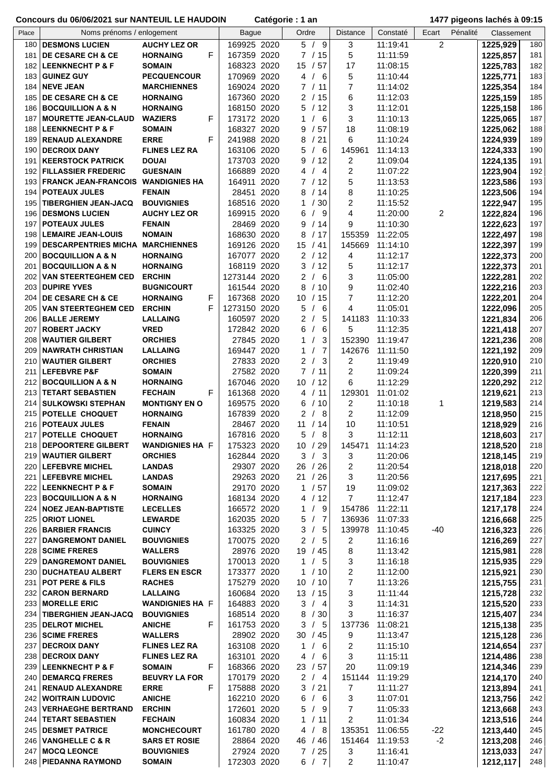| Place | Noms prénoms / enlogement                 |                        | <b>Bague</b> | Ordre                                                   | <b>Distance</b> | Constaté | Pénalité<br>Ecart | Classement |     |
|-------|-------------------------------------------|------------------------|--------------|---------------------------------------------------------|-----------------|----------|-------------------|------------|-----|
|       |                                           |                        |              |                                                         |                 |          |                   |            |     |
|       | 180   DESMONS LUCIEN                      | <b>AUCHY LEZ OR</b>    | 169925 2020  | 5/9                                                     | 3               | 11:19:41 | $\overline{c}$    | 1225,929   | 180 |
| 181   | <b>DE CESARE CH &amp; CE</b>              | F<br><b>HORNAING</b>   | 167359 2020  | 7/15                                                    | 5               | 11:11:59 |                   | 1225,857   | 181 |
|       |                                           |                        |              |                                                         |                 |          |                   |            |     |
|       | 182 LEENKNECHT P & F                      | <b>SOMAIN</b>          | 168323 2020  | 15 / 57                                                 | 17              | 11:08:15 |                   | 1225,783   | 182 |
| 183   | <b>GUINEZ GUY</b>                         | <b>PECQUENCOUR</b>     | 170969 2020  | 4/6                                                     | 5               | 11:10:44 |                   | 1225,771   | 183 |
|       |                                           |                        |              |                                                         |                 |          |                   |            |     |
| 184   | <b>NEVE JEAN</b>                          | <b>MARCHIENNES</b>     | 169024 2020  | 7 / 11                                                  | $\overline{7}$  | 11:14:02 |                   | 1225,354   | 184 |
| 185   | <b>DE CESARE CH &amp; CE</b>              | <b>HORNAING</b>        | 167360 2020  | 2/15                                                    | 6               | 11:12:03 |                   | 1225,159   | 185 |
|       |                                           |                        |              |                                                         |                 |          |                   |            | 186 |
| 186   | <b>BOCQUILLION A &amp; N</b>              | <b>HORNAING</b>        | 168150 2020  | 5/12                                                    | 3               | 11:12:01 |                   | 1225,158   |     |
| 187   | <b>MOURETTE JEAN-CLAUD</b>                | <b>WAZIERS</b><br>F    | 173172 2020  | - 6<br>1                                                | 3               | 11:10:13 |                   | 1225,065   | 187 |
|       | ∣LEENKNECHT P & F                         | <b>SOMAIN</b>          | 168327 2020  | /57<br>9                                                | 18              |          |                   |            | 188 |
| 188   |                                           |                        |              |                                                         |                 | 11:08:19 |                   | 1225,062   |     |
|       | 189   RENAUD ALEXANDRE                    | F<br><b>ERRE</b>       | 241988 2020  | /21<br>8                                                | 6               | 11:10:24 |                   | 1224,939   | 189 |
|       | 190 DECROIX DANY                          | <b>FLINES LEZ RA</b>   | 163106 2020  | 5<br>- 6<br>$\prime$                                    | 145961          | 11:14:13 |                   | 1224,333   | 190 |
|       |                                           |                        |              |                                                         |                 |          |                   |            |     |
| 191   | <b>KEERSTOCK PATRICK</b>                  | <b>DOUAI</b>           | 173703 2020  | /12<br>9                                                | 2               | 11:09:04 |                   | 1224,135   | 191 |
| 192   | <b>FILLASSIER FREDERIC</b>                | <b>GUESNAIN</b>        | 166889 2020  | $\overline{4}$<br>4                                     | 2               | 11:07:22 |                   | 1223,904   | 192 |
|       |                                           |                        |              |                                                         |                 |          |                   |            |     |
| 193   | <b>FRANCK JEAN-FRANCOIS WANDIGNIES HA</b> |                        | 164911 2020  | 7/12                                                    | 5               | 11:13:53 |                   | 1223,586   | 193 |
| 194   | <b>POTEAUX JULES</b>                      | <b>FENAIN</b>          | 28451 2020   | 8<br>/14                                                | 8               | 11:10:25 |                   | 1223,506   | 194 |
|       |                                           |                        |              |                                                         |                 |          |                   |            |     |
| 195   | <b>TIBERGHIEN JEAN-JACQ</b>               | <b>BOUVIGNIES</b>      | 168516 2020  | 30<br>1                                                 | 2               | 11:15:52 |                   | 1222,947   | 195 |
| 196   | <b>DESMONS LUCIEN</b>                     | <b>AUCHY LEZ OR</b>    | 169915 2020  | - 9<br>6                                                | 4               | 11:20:00 | 2                 | 1222,824   | 196 |
|       |                                           |                        |              |                                                         |                 |          |                   |            | 197 |
| 197   | <b>POTEAUX JULES</b>                      | <b>FENAIN</b>          | 28469 2020   | /14<br>9                                                | 9               | 11:10:30 |                   | 1222,623   |     |
| 198   | <b>LEMAIRE JEAN-LOUIS</b>                 | <b>NOMAIN</b>          | 168630 2020  | 8<br>/17                                                | 155359          | 11:22:05 |                   | 1222,497   | 198 |
|       | 199 DESCARPENTRIES MICHA MARCHIENNES      |                        | 169126 2020  | 15 / 41                                                 | 145669          | 11:14:10 |                   | 1222,397   | 199 |
|       |                                           |                        |              |                                                         |                 |          |                   |            |     |
|       | 200 BOCQUILLION A & N                     | <b>HORNAING</b>        | 167077 2020  | 2/12                                                    | 4               | 11:12:17 |                   | 1222,373   | 200 |
| 201   | <b>BOCQUILLION A &amp; N</b>              | <b>HORNAING</b>        | 168119 2020  | /12<br>3                                                | 5               | 11:12:17 |                   | 1222,373   | 201 |
|       |                                           |                        |              |                                                         |                 |          |                   |            |     |
| 202   | <b>VAN STEERTEGHEM CED</b>                | <b>ERCHIN</b>          | 1273144 2020 | /6<br>2                                                 | 3               | 11:05:00 |                   | 1222,281   | 202 |
| 203   | <b>DUPIRE YVES</b>                        | <b>BUGNICOURT</b>      | 161544 2020  | /10<br>8                                                | 9               | 11:02:40 |                   | 1222,216   | 203 |
|       |                                           |                        |              |                                                         |                 |          |                   |            |     |
| 204   | <b>DE CESARE CH &amp; CE</b>              | <b>HORNAING</b><br>F   | 167368 2020  | 10 / 15                                                 | 7               | 11:12:20 |                   | 1222,201   | 204 |
| 205   | <b>VAN STEERTEGHEM CED</b>                | F<br><b>ERCHIN</b>     | 1273150 2020 | 5<br>6                                                  | 4               | 11:05:01 |                   | 1222,096   | 205 |
|       | 206   BALLE JEREMY                        | <b>LALLAING</b>        | 160597 2020  | 5<br>2                                                  | 141183          |          |                   |            | 206 |
|       |                                           |                        |              |                                                         |                 | 11:10:33 |                   | 1221,834   |     |
| 207   | <b>ROBERT JACKY</b>                       | <b>VRED</b>            | 172842 2020  | 6<br>6                                                  | 5               | 11:12:35 |                   | 1221,418   | 207 |
| 208   | <b>WAUTIER GILBERT</b>                    | <b>ORCHIES</b>         | 27845 2020   | 3<br>1                                                  | 152390          | 11:19:47 |                   | 1221,236   | 208 |
|       |                                           |                        |              |                                                         |                 |          |                   |            |     |
| 209   | <b>NAWRATH CHRISTIAN</b>                  | <b>LALLAING</b>        | 169447 2020  | $\overline{7}$<br>1                                     | 142676          | 11:11:50 |                   | 1221,192   | 209 |
| 210   | <b>WAUTIER GILBERT</b>                    | <b>ORCHIES</b>         | 27833 2020   | $\overline{\mathbf{3}}$<br>$\overline{2}$<br>$\sqrt{ }$ | 2               | 11:19:49 |                   | 1220,910   | 210 |
| 211   | <b>LEFEBVRE P&amp;F</b>                   | <b>SOMAIN</b>          | 27582 2020   | $7^{\circ}$<br>/11                                      | $\overline{2}$  | 11:09:24 |                   |            | 211 |
|       |                                           |                        |              |                                                         |                 |          |                   | 1220,399   |     |
| 212   | <b>BOCQUILLION A &amp; N</b>              | <b>HORNAING</b>        | 167046 2020  | /12<br>10 <sup>1</sup>                                  | 6               | 11:12:29 |                   | 1220,292   | 212 |
| 213   | <b>TETART SEBASTIEN</b>                   | <b>FECHAIN</b><br>F    | 161368 2020  | 4 / 11                                                  | 129301          | 11:01:02 |                   | 1219,621   | 213 |
|       |                                           |                        |              |                                                         |                 |          |                   |            |     |
| 214   | <b>SULKOWSKI STEPHAN</b>                  | <b>MONTIGNY EN O</b>   | 169575 2020  | /10<br>6                                                | 2               | 11:10:18 | 1                 | 1219,583   | 214 |
| 215   | POTELLE CHOQUET                           | <b>HORNAING</b>        | 167839 2020  | - 8<br>2                                                | 2               | 11:12:09 |                   | 1218,950   | 215 |
|       |                                           |                        |              | 11                                                      |                 |          |                   |            |     |
|       | 216 POTEAUX JULES                         | <b>FENAIN</b>          | 28467 2020   | /14                                                     | 10              | 11:10:51 |                   | 1218,929   | 216 |
| 217   | POTELLE CHOQUET                           | <b>HORNAING</b>        | 167816 2020  | 5<br>8<br>$\sqrt{2}$                                    | 3               | 11:12:11 |                   | 1218,603   | 217 |
|       | 218 DEPOORTERE GILBERT                    | <b>WANDIGNIES HA F</b> | 175323 2020  | 10 / 29                                                 | 145471          | 11:14:23 |                   | 1218,520   | 218 |
|       |                                           |                        |              |                                                         |                 |          |                   |            |     |
|       | 219 WAUTIER GILBERT                       | <b>ORCHIES</b>         | 162844 2020  | 3<br>/3                                                 | 3               | 11:20:06 |                   | 1218,145   | 219 |
|       | 220 LEFEBVRE MICHEL                       | <b>LANDAS</b>          | 29307 2020   | 26 / 26                                                 | 2               | 11:20:54 |                   | 1218,018   | 220 |
|       |                                           |                        |              |                                                         |                 |          |                   |            |     |
| 221   | <b>LEFEBVRE MICHEL</b>                    | <b>LANDAS</b>          | 29263 2020   | 21 / 26                                                 | 3               | 11:20:56 |                   | 1217,695   | 221 |
|       | 222 LEENKNECHT P & F                      | <b>SOMAIN</b>          | 29170 2020   | 1 / 57                                                  | 19              | 11:09:02 |                   | 1217,363   | 222 |
|       | 223 BOCQUILLION A & N                     | <b>HORNAING</b>        | 168134 2020  | 4 / 12                                                  | 7               | 11:12:47 |                   | 1217,184   | 223 |
|       |                                           |                        |              |                                                         |                 |          |                   |            |     |
| 224   | <b>NOEZ JEAN-BAPTISTE</b>                 | <b>LECELLES</b>        | 166572 2020  | /9<br>1                                                 | 154786          | 11:22:11 |                   | 1217,178   | 224 |
| 225   | <b>ORIOT LIONEL</b>                       | <b>LEWARDE</b>         | 162035 2020  | 5/7                                                     | 136936          | 11:07:33 |                   | 1216,668   | 225 |
|       |                                           |                        |              |                                                         |                 |          |                   |            |     |
|       | 226 BARBIER FRANCIS                       | <b>CUINCY</b>          | 163325 2020  | /5<br>3                                                 | 139978          | 11:10:45 | $-40$             | 1216,323   | 226 |
| 227   | <b>DANGREMONT DANIEL</b>                  | <b>BOUVIGNIES</b>      | 170075 2020  | 2/5                                                     | 2               | 11:16:16 |                   | 1216,269   | 227 |
|       | 228 SCIME FRERES                          | <b>WALLERS</b>         | 28976 2020   | 19 / 45                                                 | 8               | 11:13:42 |                   | 1215,981   | 228 |
|       |                                           |                        |              |                                                         |                 |          |                   |            |     |
|       | 229 DANGREMONT DANIEL                     | <b>BOUVIGNIES</b>      | 170013 2020  | $\mathbf{1}$<br>/5                                      | 3               | 11:16:18 |                   | 1215,935   | 229 |
|       | 230   DUCHATEAU ALBERT                    | <b>FLERS EN ESCR</b>   | 173377 2020  | /10<br>1                                                | 2               | 11:12:00 |                   | 1215,921   | 230 |
|       |                                           |                        |              |                                                         |                 |          |                   |            |     |
| 231   | <b>POT PERE &amp; FILS</b>                | <b>RACHES</b>          | 175279 2020  | 10 / 10                                                 | 7               | 11:13:26 |                   | 1215,755   | 231 |
|       | 232 CARON BERNARD                         | <b>LALLAING</b>        | 160684 2020  | 13 / 15                                                 | 3               | 11:11:44 |                   | 1215,728   | 232 |
|       | 233 MORELLE ERIC                          | <b>WANDIGNIES HA F</b> | 164883 2020  | 3/4                                                     | 3               | 11:14:31 |                   | 1215,520   | 233 |
|       |                                           |                        |              |                                                         |                 |          |                   |            |     |
|       | 234   TIBERGHIEN JEAN-JACQ                | <b>BOUVIGNIES</b>      | 168514 2020  | /30<br>8                                                | 3               | 11:16:37 |                   | 1215,407   | 234 |
|       | 235   DELROT MICHEL                       | F<br><b>ANICHE</b>     | 161753 2020  | 3 / 5                                                   | 137736          | 11:08:21 |                   | 1215,138   | 235 |
|       |                                           |                        | 28902 2020   | 30 / 45                                                 |                 |          |                   |            | 236 |
|       | 236 SCIME FRERES                          | <b>WALLERS</b>         |              |                                                         | 9               | 11:13:47 |                   | 1215,128   |     |
|       | 237   DECROIX DANY                        | <b>FLINES LEZ RA</b>   | 163108 2020  | $\mathbf{1}$<br>/6                                      | 2               | 11:15:10 |                   | 1214,654   | 237 |
|       | 238   DECROIX DANY                        | <b>FLINES LEZ RA</b>   | 163101 2020  | 4<br>/6                                                 | 3               | 11:15:11 |                   | 1214,486   | 238 |
|       |                                           |                        |              |                                                         |                 |          |                   |            |     |
|       | 239 LEENKNECHT P & F                      | F<br><b>SOMAIN</b>     | 168366 2020  | 23/57                                                   | 20              | 11:09:19 |                   | 1214,346   | 239 |
| 240   | <b>DEMARCQ FRERES</b>                     | <b>BEUVRY LA FOR</b>   | 170179 2020  | 2/4                                                     | 151144          | 11:19:29 |                   | 1214,170   | 240 |
|       |                                           | F                      |              |                                                         |                 |          |                   |            |     |
| 241   | <b>RENAUD ALEXANDRE</b>                   | <b>ERRE</b>            | 175888 2020  | 3 / 21                                                  | 7               | 11:11:27 |                   | 1213,894   | 241 |
|       | 242 WOITRAIN LUDOVIC                      | <b>ANICHE</b>          | 162210 2020  | 6<br>/6                                                 | 3               | 11:07:01 |                   | 1213,756   | 242 |
|       | 243 VERHAEGHE BERTRAND                    | <b>ERCHIN</b>          | 172601 2020  | 5<br>/9                                                 | 7               | 11:05:33 |                   | 1213,668   | 243 |
|       |                                           |                        |              |                                                         |                 |          |                   |            |     |
|       | 244   TETART SEBASTIEN                    | <b>FECHAIN</b>         | 160834 2020  | $\mathbf{1}$<br>/11                                     | 2               | 11:01:34 |                   | 1213,516   | 244 |
|       | 245   DESMET PATRICE                      | <b>MONCHECOURT</b>     | 161780 2020  | /8<br>4                                                 | 135351          | 11:06:55 | $-22$             | 1213,440   | 245 |
|       |                                           | <b>SARS ET ROSIE</b>   |              | 46 / 46                                                 | 151464          | 11:19:53 | $-2$              |            |     |
|       | 246 VANGHELLE C & R                       |                        | 28864 2020   |                                                         |                 |          |                   | 1213,208   | 246 |
| 247   | <b>MOCQ LEONCE</b>                        | <b>BOUVIGNIES</b>      | 27924 2020   | 7/25                                                    | 3               | 11:16:41 |                   | 1213,033   | 247 |
|       | 248   PIEDANNA RAYMOND                    | <b>SOMAIN</b>          | 172303 2020  | 6 / 7                                                   | 2               | 11:10:47 |                   | 1212,117   | 248 |
|       |                                           |                        |              |                                                         |                 |          |                   |            |     |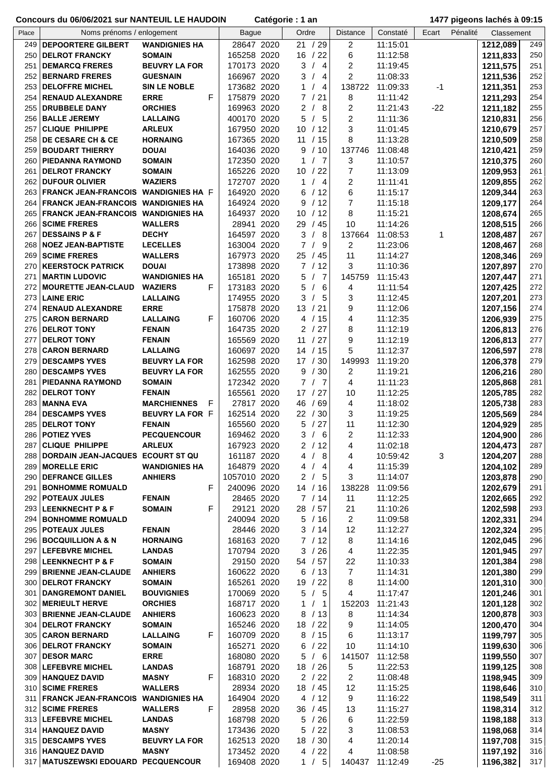| Place | Noms prénoms / enlogement                 |                         | <b>Bague</b> | Ordre                             | <b>Distance</b> | Constaté | Ecart | Pénalité | Classement |     |
|-------|-------------------------------------------|-------------------------|--------------|-----------------------------------|-----------------|----------|-------|----------|------------|-----|
| 249   | <b>DEPOORTERE GILBERT</b>                 | <b>WANDIGNIES HA</b>    | 28647 2020   | /29<br>21                         | 2               | 11:15:01 |       | 1212,089 |            | 249 |
| 250   | <b>DELROT FRANCKY</b>                     | <b>SOMAIN</b>           | 165258 2020  | 16<br>/22                         | 6               | 11:12:58 |       | 1211,833 |            | 250 |
| 251   | <b>DEMARCQ FRERES</b>                     | <b>BEUVRY LA FOR</b>    | 170173 2020  | 3<br>$\sqrt{ }$<br>$\overline{4}$ | 2               | 11:19:45 |       |          |            | 251 |
|       |                                           |                         |              |                                   |                 |          |       | 1211,575 |            |     |
| 252   | <b>BERNARD FRERES</b>                     | <b>GUESNAIN</b>         | 166967 2020  | 3<br>$\sqrt{ }$<br>$\overline{4}$ | 2               | 11:08:33 |       | 1211,536 |            | 252 |
| 253   | <b>DELOFFRE MICHEL</b>                    | <b>SIN LE NOBLE</b>     | 173682 2020  | 1<br>$\overline{4}$               | 138722          | 11:09:33 | -1    | 1211,351 |            | 253 |
| 254   | <b>RENAUD ALEXANDRE</b>                   | F<br><b>ERRE</b>        | 175879 2020  | 21<br>7/                          | 8               | 11:11:42 |       | 1211,293 |            | 254 |
| 255   | <b>DRUBBELE DANY</b>                      | <b>ORCHIES</b>          | 169963 2020  | $\overline{2}$<br>- 8             | 2               | 11:21:43 | $-22$ | 1211,182 |            | 255 |
| 256   | <b>BALLE JEREMY</b>                       | <b>LALLAING</b>         | 400170 2020  | /5<br>5                           | 2               | 11:11:36 |       | 1210,831 |            | 256 |
|       |                                           |                         |              |                                   |                 |          |       |          |            |     |
| 257   | <b>CLIQUE PHILIPPE</b>                    | <b>ARLEUX</b>           | 167950 2020  | 10 <sup>1</sup><br>/12            | 3               | 11:01:45 |       | 1210,679 |            | 257 |
| 258   | <b>DE CESARE CH &amp; CE</b>              | <b>HORNAING</b>         | 167365 2020  | 11<br>/15                         | 8               | 11:13:28 |       | 1210,509 |            | 258 |
| 259   | <b>BOUDART THIERRY</b>                    | <b>DOUAI</b>            | 164036 2020  | 9<br>/10                          | 137746          | 11:08:48 |       | 1210,421 |            | 259 |
|       | 260   PIEDANNA RAYMOND                    | <b>SOMAIN</b>           | 172350 2020  | $\overline{7}$<br>1               | 3               | 11:10:57 |       | 1210,375 |            | 260 |
| 261   | <b>DELROT FRANCKY</b>                     | <b>SOMAIN</b>           | 165226 2020  | /22<br>10                         | 7               | 11:13:09 |       | 1209,953 |            | 261 |
| 262   | <b>DUFOUR OLIVIER</b>                     | <b>WAZIERS</b>          | 172707 2020  | $\overline{4}$<br>1               | $\overline{2}$  | 11:11:41 |       | 1209,855 |            | 262 |
|       |                                           |                         |              |                                   |                 |          |       |          |            |     |
| 263   | FRANCK JEAN-FRANCOIS WANDIGNIES HA F      |                         | 164920 2020  | /12<br>6                          | 6               | 11:15:17 |       | 1209,344 |            | 263 |
| 264   | <b>FRANCK JEAN-FRANCOIS WANDIGNIES HA</b> |                         | 164924 2020  | /12<br>9                          | $\overline{7}$  | 11:15:18 |       | 1209,177 |            | 264 |
| 265   | <b>FRANCK JEAN-FRANCOIS WANDIGNIES HA</b> |                         | 164937 2020  | /12<br>10                         | 8               | 11:15:21 |       | 1208,674 |            | 265 |
| 266   | <b>SCIME FRERES</b>                       | <b>WALLERS</b>          | 28941 2020   | /45<br>29                         | 10              | 11:14:26 |       | 1208,515 |            | 266 |
| 267   | <b>DESSAINS P &amp; F</b>                 | <b>DECHY</b>            | 164597 2020  | 3<br>- 8                          | 137664          | 11:08:53 | 1     | 1208,487 |            | 267 |
| 268   | <b>NOEZ JEAN-BAPTISTE</b>                 | <b>LECELLES</b>         | 163004 2020  | $\overline{7}$<br>/9              | 2               | 11:23:06 |       | 1208,467 |            | 268 |
|       |                                           |                         |              |                                   |                 |          |       |          |            |     |
| 269   | <b>SCIME FRERES</b>                       | <b>WALLERS</b>          | 167973 2020  | 25/45                             | 11              | 11:14:27 |       | 1208,346 |            | 269 |
| 270   | <b>KEERSTOCK PATRICK</b>                  | <b>DOUAI</b>            | 173898 2020  | 7/12                              | 3               | 11:10:36 |       | 1207,897 |            | 270 |
| 271   | <b>MARTIN LUDOVIC</b>                     | <b>WANDIGNIES HA</b>    | 165181 2020  | 5<br>$\overline{7}$               | 145759          | 11:15:43 |       | 1207,447 |            | 271 |
| 272   | <b>MOURETTE JEAN-CLAUD</b>                | <b>WAZIERS</b><br>F     | 173183 2020  | 5<br>6<br>$\prime$                | 4               | 11:11:54 |       | 1207,425 |            | 272 |
| 273   | <b>LAINE ERIC</b>                         | <b>LALLAING</b>         | 174955 2020  | 3<br>$\sqrt{ }$<br>- 5            | 3               | 11:12:45 |       | 1207,201 |            | 273 |
| 274   |                                           | <b>ERRE</b>             | 175878 2020  | 13 / 21                           | 9               |          |       |          |            | 274 |
|       | <b>RENAUD ALEXANDRE</b>                   |                         |              |                                   |                 | 11:12:06 |       | 1207,156 |            |     |
| 275   | <b>CARON BERNARD</b>                      | F<br><b>LALLAING</b>    | 160706 2020  | /15<br>4                          | 4               | 11:12:35 |       | 1206,939 |            | 275 |
| 276   | <b>DELROT TONY</b>                        | <b>FENAIN</b>           | 164735 2020  | 2<br>/27                          | 8               | 11:12:19 |       | 1206,813 |            | 276 |
| 277   | <b>DELROT TONY</b>                        | <b>FENAIN</b>           | 165569 2020  | /27<br>11                         | 9               | 11:12:19 |       | 1206,813 |            | 277 |
| 278   | <b>CARON BERNARD</b>                      | <b>LALLAING</b>         | 160697 2020  | /15<br>14                         | 5               | 11:12:37 |       | 1206,597 |            | 278 |
| 279   | <b>DESCAMPS YVES</b>                      | <b>BEUVRY LA FOR</b>    | 162598 2020  | 17 / 30                           | 149993          | 11:19:20 |       | 1206,378 |            | 279 |
| 280   | <b>DESCAMPS YVES</b>                      | <b>BEUVRY LA FOR</b>    | 162555 2020  | /30<br>9                          | 2               | 11:19:21 |       | 1206,216 |            | 280 |
|       |                                           |                         |              |                                   |                 |          |       |          |            |     |
| 281   | PIEDANNA RAYMOND                          | <b>SOMAIN</b>           | 172342 2020  | $\mathbf{7}$<br>/7                | 4               | 11:11:23 |       | 1205,868 |            | 281 |
| 282   | <b>DELROT TONY</b>                        | <b>FENAIN</b>           | 165561 2020  | 17 / 27                           | 10              | 11:12:25 |       | 1205,785 |            | 282 |
| 283   | <b>MANNA EVA</b>                          | <b>MARCHIENNES</b><br>F | 27817 2020   | 46<br>/69                         | 4               | 11:18:02 |       | 1205,738 |            | 283 |
| 284   | <b>DESCAMPS YVES</b>                      | BEUVRY LA FOR F         | 162514 2020  | 22<br>/30                         | 3               | 11:19:25 |       | 1205,569 |            | 284 |
| 285   | <b>DELROT TONY</b>                        | <b>FENAIN</b>           | 165560 2020  | 5<br>/27                          | 11              | 11:12:30 |       | 1204,929 |            | 285 |
|       | 286 POTIEZ YVES                           | <b>PECQUENCOUR</b>      | 169462 2020  | 3<br>6<br>$\sqrt{2}$              | $\overline{2}$  | 11:12:33 |       | 1204,900 |            | 286 |
|       |                                           |                         |              |                                   |                 |          |       |          |            |     |
| 287   | <b>CLIQUE PHILIPPE</b>                    | <b>ARLEUX</b>           | 167923 2020  | 2/12                              | 4               | 11:02:18 |       | 1204,473 |            | 287 |
|       | 288 DORDAIN JEAN-JACQUES ECOURT ST QU     |                         | 161187 2020  | 4/8                               | 4               | 10:59:42 | 3     | 1204,207 |            | 288 |
|       | 289 MORELLE ERIC                          | <b>WANDIGNIES HA</b>    | 164879 2020  | 4<br>$\prime$<br>- 4              | 4               | 11:15:39 |       | 1204,102 |            | 289 |
| 290   | <b>DEFRANCE GILLES</b>                    | <b>ANHIERS</b>          | 1057010 2020 | $\overline{2}$<br>/5              | 3               | 11:14:07 |       | 1203,878 |            | 290 |
| 291   | <b>BONHOMME ROMUALD</b>                   | F                       | 240096 2020  | 14 / 16                           | 138228          | 11:09:56 |       | 1202,679 |            | 291 |
| 292   | <b>POTEAUX JULES</b>                      | <b>FENAIN</b>           | 28465 2020   | 7/14                              | 11              | 11:12:25 |       | 1202,665 |            | 292 |
|       |                                           |                         |              |                                   |                 |          |       |          |            |     |
|       | 293 LEENKNECHT P & F                      | F<br><b>SOMAIN</b>      | 29121 2020   | 28 / 57                           | 21              | 11:10:26 |       | 1202,598 |            | 293 |
|       | 294 BONHOMME ROMUALD                      |                         | 240094 2020  | 5/16                              | 2               | 11:09:58 |       | 1202,331 |            | 294 |
|       | 295   POTEAUX JULES                       | <b>FENAIN</b>           | 28446 2020   | 3 / 14                            | 12              | 11:12:27 |       | 1202,324 |            | 295 |
|       | 296 BOCQUILLION A & N                     | <b>HORNAING</b>         | 168163 2020  | 7/12                              | 8               | 11:14:16 |       | 1202,045 |            | 296 |
|       | 297 LEFEBVRE MICHEL                       | <b>LANDAS</b>           | 170794 2020  | 3 / 26                            | 4               | 11:22:35 |       | 1201,945 |            | 297 |
|       | 298 LEENKNECHT P & F                      | <b>SOMAIN</b>           | 29150 2020   | 54 / 57                           | 22              | 11:10:33 |       | 1201,384 |            | 298 |
|       | 299   BRIENNE JEAN-CLAUDE                 | <b>ANHIERS</b>          | 160622 2020  | 6 / 13                            | $\overline{7}$  |          |       |          |            | 299 |
|       |                                           |                         |              |                                   |                 | 11:14:31 |       | 1201,380 |            |     |
|       | 300 DELROT FRANCKY                        | <b>SOMAIN</b>           | 165261 2020  | 19 / 22                           | 8               | 11:14:00 |       | 1201,310 |            | 300 |
| 301   | <b>DANGREMONT DANIEL</b>                  | <b>BOUVIGNIES</b>       | 170069 2020  | 5/5                               | 4               | 11:17:47 |       | 1201,246 |            | 301 |
|       | 302 MERIEULT HERVE                        | <b>ORCHIES</b>          | 168717 2020  | $\mathbf{1}$<br>/1                | 152203          | 11:21:43 |       | 1201,128 |            | 302 |
|       | 303 BRIENNE JEAN-CLAUDE                   | <b>ANHIERS</b>          | 160623 2020  | 8<br>/13                          | 8               | 11:14:34 |       | 1200,878 |            | 303 |
|       | 304 DELROT FRANCKY                        | <b>SOMAIN</b>           | 165246 2020  | 18 / 22                           | 9               | 11:14:05 |       | 1200,470 |            | 304 |
|       | 305 CARON BERNARD                         | F<br><b>LALLAING</b>    | 160709 2020  | 8 / 15                            | 6               | 11:13:17 |       | 1199,797 |            | 305 |
|       |                                           |                         |              |                                   |                 |          |       |          |            |     |
|       | 306   DELROT FRANCKY                      | <b>SOMAIN</b>           | 165271 2020  | 6 / 22                            | 10              | 11:14:10 |       | 1199,630 |            | 306 |
|       | 307 DESOR MARC                            | <b>ERRE</b>             | 168080 2020  | 5/6                               | 141507          | 11:12:58 |       | 1199,550 |            | 307 |
|       | 308 LEFEBVRE MICHEL                       | <b>LANDAS</b>           | 168791 2020  | 18 / 26                           | 5               | 11:22:53 |       | 1199,125 |            | 308 |
|       | 309   HANQUEZ DAVID                       | <b>MASNY</b><br>F       | 168310 2020  | 2/22                              | 2               | 11:08:48 |       | 1198,945 |            | 309 |
|       | 310 SCIME FRERES                          | <b>WALLERS</b>          | 28934 2020   | 18 / 45                           | 12              | 11:15:25 |       | 1198,646 |            | 310 |
| 311   | <b>FRANCK JEAN-FRANCOIS</b>               | <b>WANDIGNIES HA</b>    | 164904 2020  | 4 / 12                            | 9               | 11:16:22 |       | 1198,549 |            | 311 |
|       |                                           |                         |              |                                   |                 |          |       |          |            |     |
|       | 312 SCIME FRERES                          | F<br><b>WALLERS</b>     | 28958 2020   | 36 / 45                           | 13              | 11:15:27 |       | 1198,314 |            | 312 |
|       | 313   LEFEBVRE MICHEL                     | <b>LANDAS</b>           | 168798 2020  | 5/26                              | 6               | 11:22:59 |       | 1198,188 |            | 313 |
|       | 314   HANQUEZ DAVID                       | <b>MASNY</b>            | 173436 2020  | 5<br>/22                          | 3               | 11:08:53 |       | 1198,068 |            | 314 |
|       | 315   DESCAMPS YVES                       | <b>BEUVRY LA FOR</b>    | 162513 2020  | 18 / 30                           | 4               | 11:20:14 |       | 1197,708 |            | 315 |
|       | 316   HANQUEZ DAVID                       | <b>MASNY</b>            | 173452 2020  | 4 / 22                            | 4               | 11:08:58 |       | 1197,192 |            | 316 |
|       | 317   MATUSZEWSKI EDOUARD PECQUENCOUR     |                         | 169408 2020  | 1 / 5                             | 140437          | 11:12:49 | $-25$ | 1196,382 |            | 317 |
|       |                                           |                         |              |                                   |                 |          |       |          |            |     |